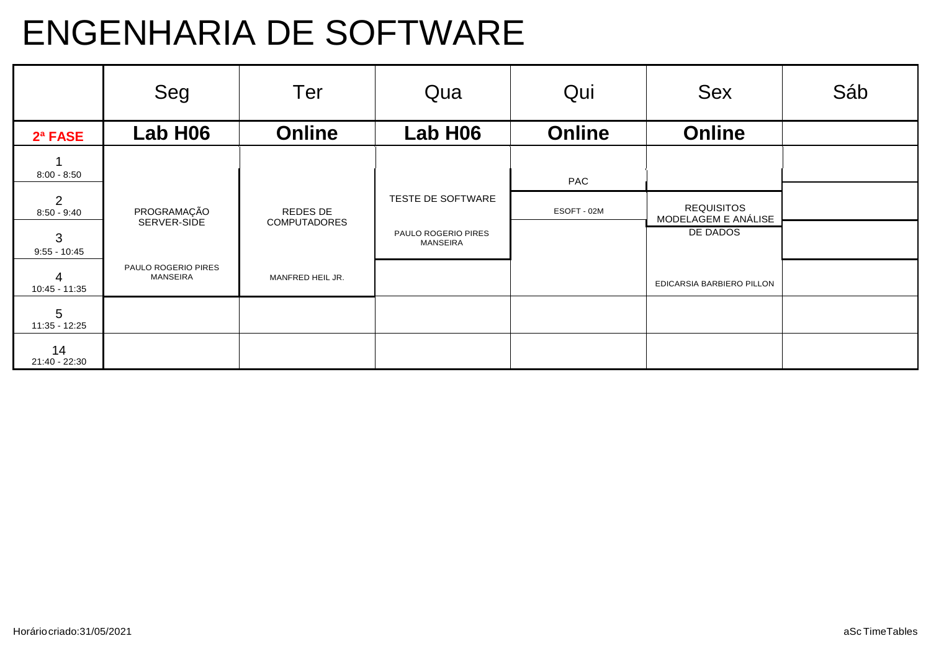# ENGENHARIA DE SOFTWARE

|                                 | Seg                                    | <b>Ter</b>                      | Qua                                    | Qui           | <b>Sex</b>                               | Sáb |
|---------------------------------|----------------------------------------|---------------------------------|----------------------------------------|---------------|------------------------------------------|-----|
| 2ª FASE                         | Lab H06                                | <b>Online</b>                   | Lab H06                                | <b>Online</b> | <b>Online</b>                            |     |
| $8:00 - 8:50$                   |                                        |                                 |                                        | PAC           |                                          |     |
| $\overline{2}$<br>$8:50 - 9:40$ | PROGRAMAÇÃO<br>SERVER-SIDE             | REDES DE<br><b>COMPUTADORES</b> | TESTE DE SOFTWARE                      | ESOFT - 02M   | <b>REQUISITOS</b><br>MODELAGEM E ANÁLISE |     |
| 3<br>$9:55 - 10:45$             |                                        |                                 | PAULO ROGERIO PIRES<br><b>MANSEIRA</b> |               | DE DADOS                                 |     |
| 4<br>10:45 - 11:35              | PAULO ROGERIO PIRES<br><b>MANSEIRA</b> | MANFRED HEIL JR.                |                                        |               | EDICARSIA BARBIERO PILLON                |     |
| 5<br>11:35 - 12:25              |                                        |                                 |                                        |               |                                          |     |
| 14<br>21:40 - 22:30             |                                        |                                 |                                        |               |                                          |     |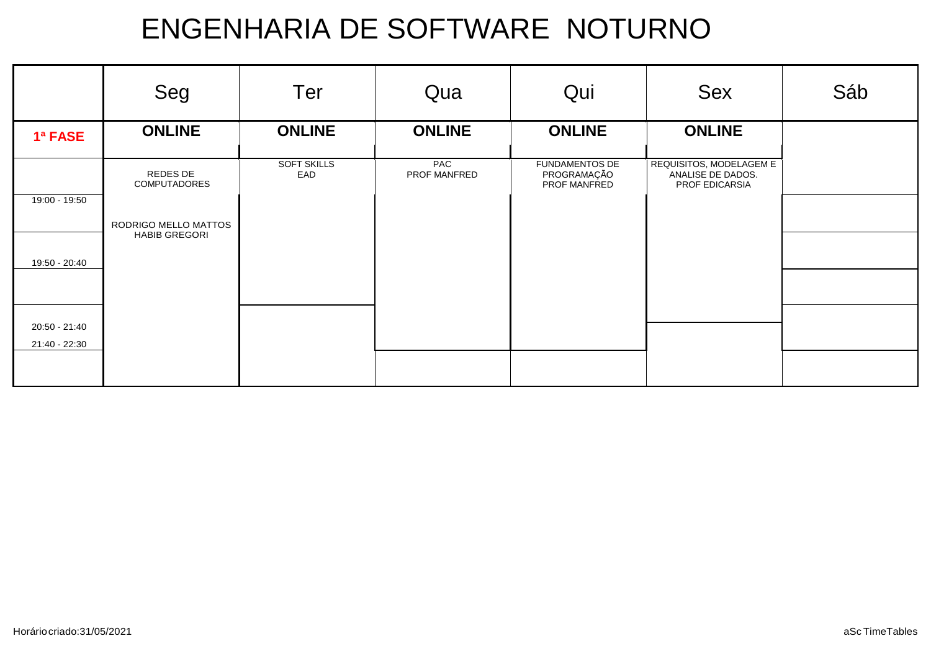|                 | Seg                             | Ter                       | Qua                 | Qui                                                  | <b>Sex</b>                                                     | Sáb |
|-----------------|---------------------------------|---------------------------|---------------------|------------------------------------------------------|----------------------------------------------------------------|-----|
| 1ª FASE         | <b>ONLINE</b>                   | <b>ONLINE</b>             | <b>ONLINE</b>       | <b>ONLINE</b>                                        | <b>ONLINE</b>                                                  |     |
|                 | REDES DE<br><b>COMPUTADORES</b> | <b>SOFT SKILLS</b><br>EAD | PAC<br>PROF MANFRED | <b>FUNDAMENTOS DE</b><br>PROGRAMAÇÃO<br>PROF MANFRED | REQUISITOS, MODELAGEM E<br>ANALISE DE DADOS.<br>PROF EDICARSIA |     |
| $19:00 - 19:50$ | RODRIGO MELLO MATTOS            |                           |                     |                                                      |                                                                |     |
| 19:50 - 20:40   | <b>HABIB GREGORI</b>            |                           |                     |                                                      |                                                                |     |
|                 |                                 |                           |                     |                                                      |                                                                |     |
| 20:50 - 21:40   |                                 |                           |                     |                                                      |                                                                |     |
| 21:40 - 22:30   |                                 |                           |                     |                                                      |                                                                |     |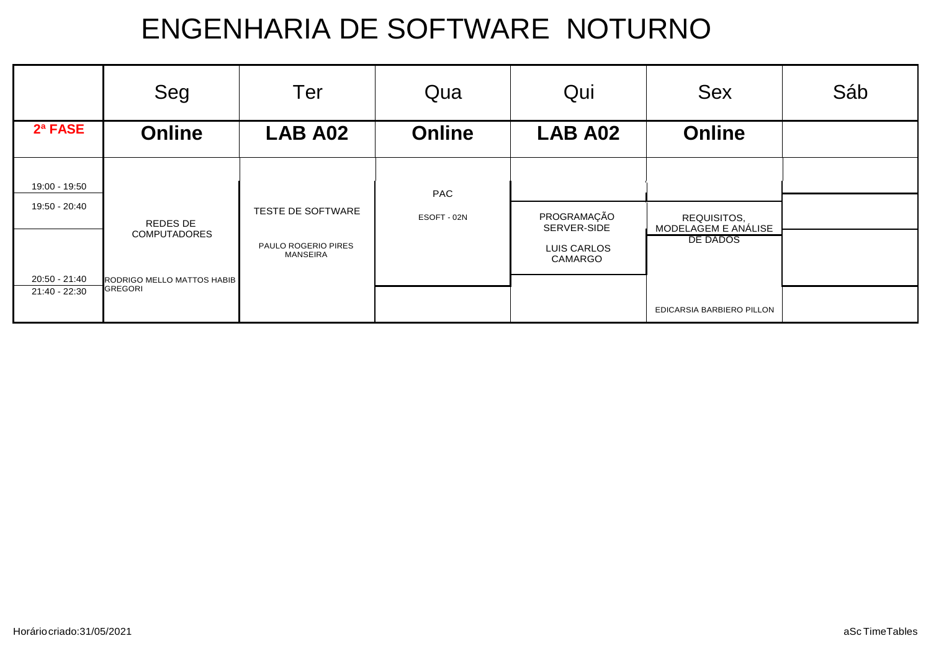|               | Seg                        | Ter                                    | Qua                | Qui                        | <b>Sex</b>                         | Sáb |
|---------------|----------------------------|----------------------------------------|--------------------|----------------------------|------------------------------------|-----|
| 2ª FASE       | <b>Online</b>              | <b>LAB A02</b>                         | <b>Online</b>      | <b>LAB A02</b>             | <b>Online</b>                      |     |
| 19:00 - 19:50 |                            |                                        |                    |                            |                                    |     |
| 19:50 - 20:40 | REDES DE                   | TESTE DE SOFTWARE                      | PAC<br>ESOFT - 02N | PROGRAMAÇÃO<br>SERVER-SIDE | REQUISITOS,<br>MODELAGEM E ANÁLISE |     |
|               | <b>COMPUTADORES</b>        | PAULO ROGERIO PIRES<br><b>MANSEIRA</b> |                    | LUIS CARLOS<br>CAMARGO     | DE DADOS                           |     |
| 20:50 - 21:40 | RODRIGO MELLO MATTOS HABIB |                                        |                    |                            |                                    |     |
| 21:40 - 22:30 | <b>GREGORI</b>             |                                        |                    |                            | EDICARSIA BARBIERO PILLON          |     |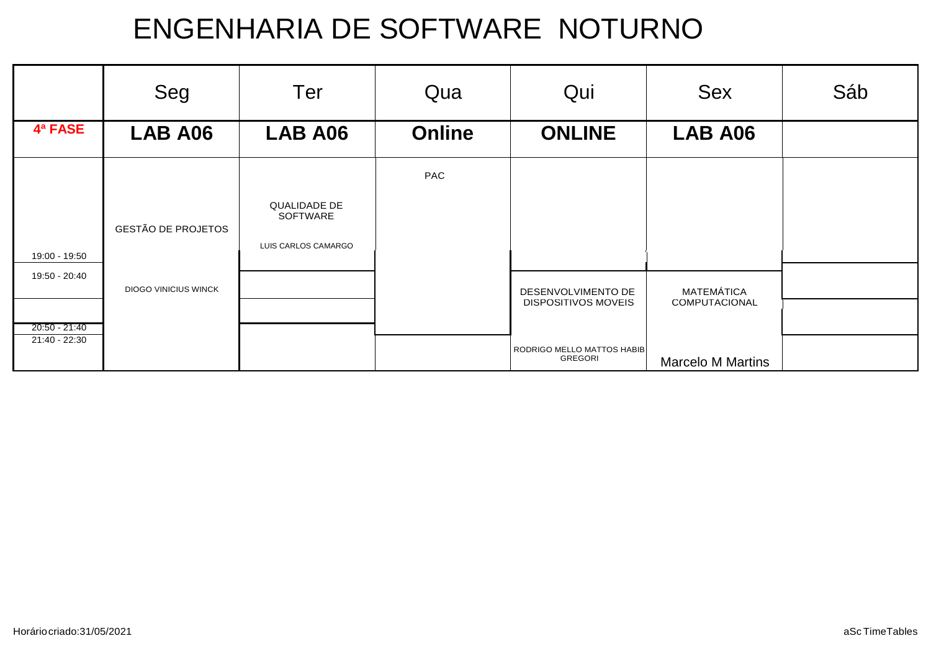|                 | Seg                         | Ter                      | Qua           | Qui                                          | <b>Sex</b>               | Sáb |
|-----------------|-----------------------------|--------------------------|---------------|----------------------------------------------|--------------------------|-----|
| 4ª FASE         | LAB A06                     | LAB A06                  | <b>Online</b> | <b>ONLINE</b>                                | LAB A06                  |     |
|                 |                             |                          | PAC           |                                              |                          |     |
|                 | <b>GESTÃO DE PROJETOS</b>   | QUALIDADE DE<br>SOFTWARE |               |                                              |                          |     |
| 19:00 - 19:50   |                             | LUIS CARLOS CAMARGO      |               |                                              |                          |     |
| 19:50 - 20:40   | <b>DIOGO VINICIUS WINCK</b> |                          |               | DESENVOLVIMENTO DE                           | MATEMÁTICA               |     |
| $20:50 - 21:40$ |                             |                          |               | <b>DISPOSITIVOS MOVEIS</b>                   | COMPUTACIONAL            |     |
| 21:40 - 22:30   |                             |                          |               | RODRIGO MELLO MATTOS HABIB<br><b>GREGORI</b> | <b>Marcelo M Martins</b> |     |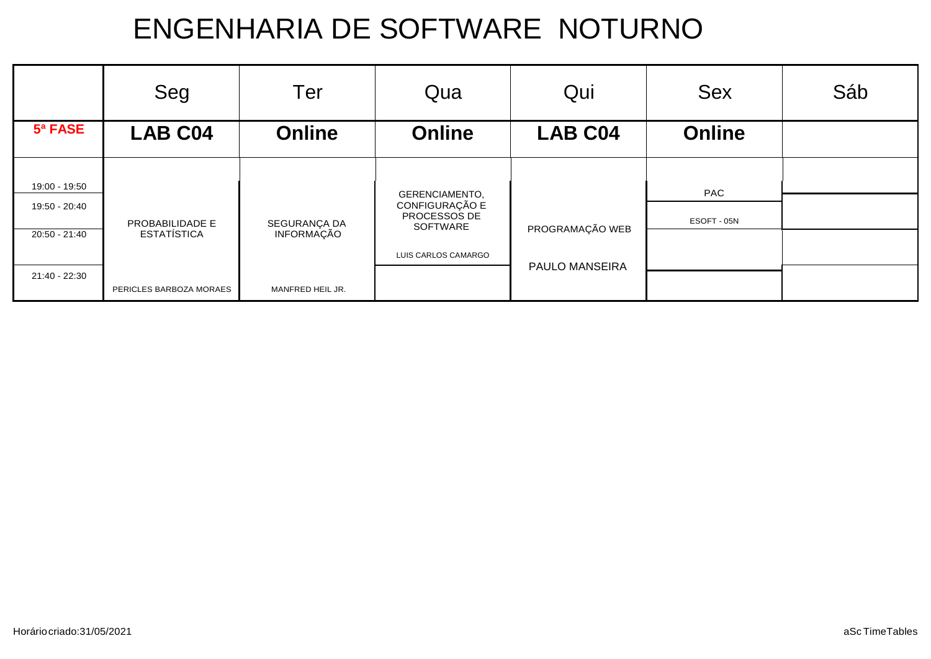|               | Seg                     | Ter              | Qua                                     | Qui                   | <b>Sex</b>    | Sáb |
|---------------|-------------------------|------------------|-----------------------------------------|-----------------------|---------------|-----|
| 5ª FASE       | <b>LAB C04</b>          | <b>Online</b>    | <b>Online</b>                           | <b>LAB C04</b>        | <b>Online</b> |     |
| 19:00 - 19:50 |                         |                  |                                         |                       |               |     |
| 19:50 - 20:40 |                         |                  | <b>GERENCIAMENTO,</b><br>CONFIGURAÇÃO E |                       | PAC           |     |
|               | PROBABILIDADE E         | SEGURANÇA DA     | PROCESSOS DE<br>SOFTWARE                | PROGRAMAÇÃO WEB       | ESOFT - 05N   |     |
| 20:50 - 21:40 | <b>ESTATÍSTICA</b>      | INFORMAÇÃO       |                                         |                       |               |     |
|               |                         |                  | LUIS CARLOS CAMARGO                     |                       |               |     |
| 21:40 - 22:30 |                         |                  |                                         | <b>PAULO MANSEIRA</b> |               |     |
|               | PERICLES BARBOZA MORAES | MANFRED HEIL JR. |                                         |                       |               |     |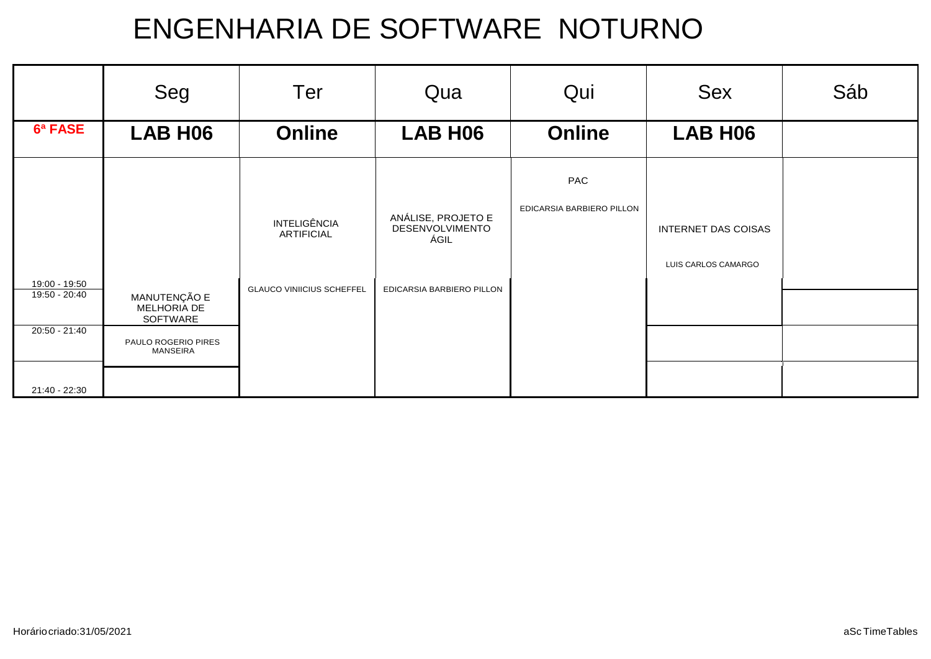|               | Seg                                     | Ter                                      | Qua                                           | Qui                       | <b>Sex</b>          | Sáb |
|---------------|-----------------------------------------|------------------------------------------|-----------------------------------------------|---------------------------|---------------------|-----|
| 6ª FASE       | <b>LAB H06</b>                          | <b>Online</b>                            | <b>LAB H06</b>                                | <b>Online</b>             | LAB H <sub>06</sub> |     |
|               |                                         |                                          |                                               | PAC                       |                     |     |
|               |                                         | <b>INTELIGÊNCIA</b><br><b>ARTIFICIAL</b> | ANÁLISE, PROJETO E<br>DESENVOLVIMENTO<br>ÁGIL | EDICARSIA BARBIERO PILLON | INTERNET DAS COISAS |     |
| 19:00 - 19:50 |                                         |                                          |                                               |                           | LUIS CARLOS CAMARGO |     |
| 19:50 - 20:40 | MANUTENÇÃO E<br>MELHORIA DE<br>SOFTWARE | <b>GLAUCO VINIICIUS SCHEFFEL</b>         | EDICARSIA BARBIERO PILLON                     |                           |                     |     |
| 20:50 - 21:40 | PAULO ROGERIO PIRES<br><b>MANSEIRA</b>  |                                          |                                               |                           |                     |     |
| 21:40 - 22:30 |                                         |                                          |                                               |                           |                     |     |